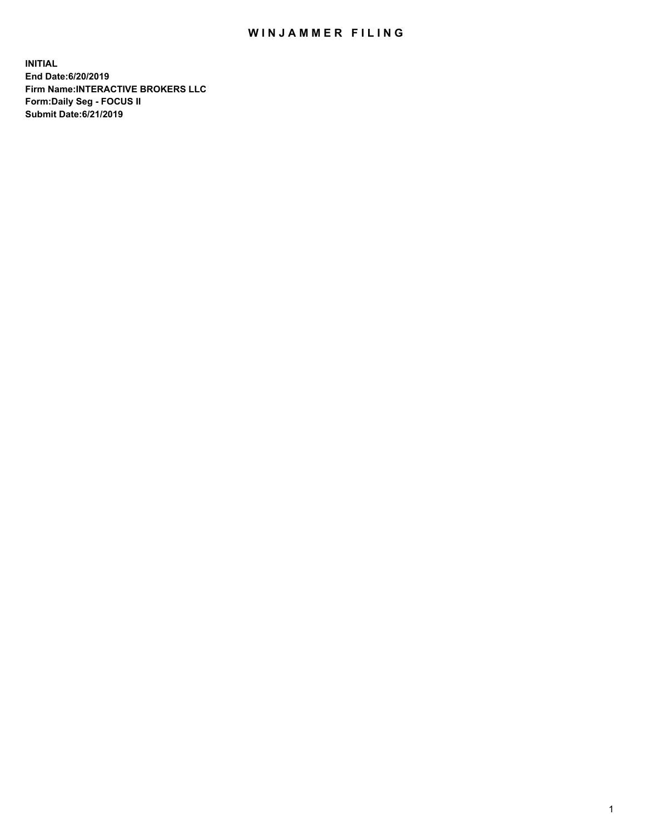## WIN JAMMER FILING

**INITIAL End Date:6/20/2019 Firm Name:INTERACTIVE BROKERS LLC Form:Daily Seg - FOCUS II Submit Date:6/21/2019**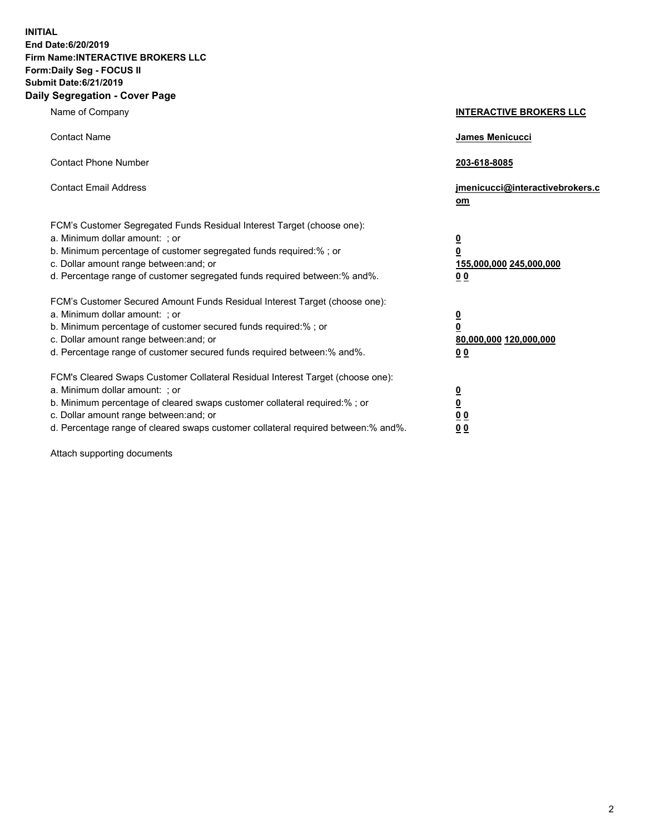**INITIAL End Date:6/20/2019 Firm Name:INTERACTIVE BROKERS LLC Form:Daily Seg - FOCUS II Submit Date:6/21/2019 Daily Segregation - Cover Page**

| Name of Company                                                                                                                                                                                                                                                                                                                | <b>INTERACTIVE BROKERS LLC</b>                                                                  |
|--------------------------------------------------------------------------------------------------------------------------------------------------------------------------------------------------------------------------------------------------------------------------------------------------------------------------------|-------------------------------------------------------------------------------------------------|
| <b>Contact Name</b>                                                                                                                                                                                                                                                                                                            | James Menicucci                                                                                 |
| <b>Contact Phone Number</b>                                                                                                                                                                                                                                                                                                    | 203-618-8085                                                                                    |
| <b>Contact Email Address</b>                                                                                                                                                                                                                                                                                                   | jmenicucci@interactivebrokers.c<br>om                                                           |
| FCM's Customer Segregated Funds Residual Interest Target (choose one):<br>a. Minimum dollar amount: ; or<br>b. Minimum percentage of customer segregated funds required:% ; or<br>c. Dollar amount range between: and; or<br>d. Percentage range of customer segregated funds required between:% and%.                         | $\overline{\mathbf{0}}$<br>$\overline{\mathbf{0}}$<br>155,000,000 245,000,000<br>0 <sub>0</sub> |
| FCM's Customer Secured Amount Funds Residual Interest Target (choose one):<br>a. Minimum dollar amount: ; or<br>b. Minimum percentage of customer secured funds required:%; or<br>c. Dollar amount range between: and; or<br>d. Percentage range of customer secured funds required between:% and%.                            | $\overline{\mathbf{0}}$<br>$\overline{\mathbf{0}}$<br>80,000,000 120,000,000<br>00              |
| FCM's Cleared Swaps Customer Collateral Residual Interest Target (choose one):<br>a. Minimum dollar amount: ; or<br>b. Minimum percentage of cleared swaps customer collateral required:% ; or<br>c. Dollar amount range between: and; or<br>d. Percentage range of cleared swaps customer collateral required between:% and%. | $\overline{\mathbf{0}}$<br>$\underline{\mathbf{0}}$<br>0 <sub>0</sub><br>0 <sub>0</sub>         |

Attach supporting documents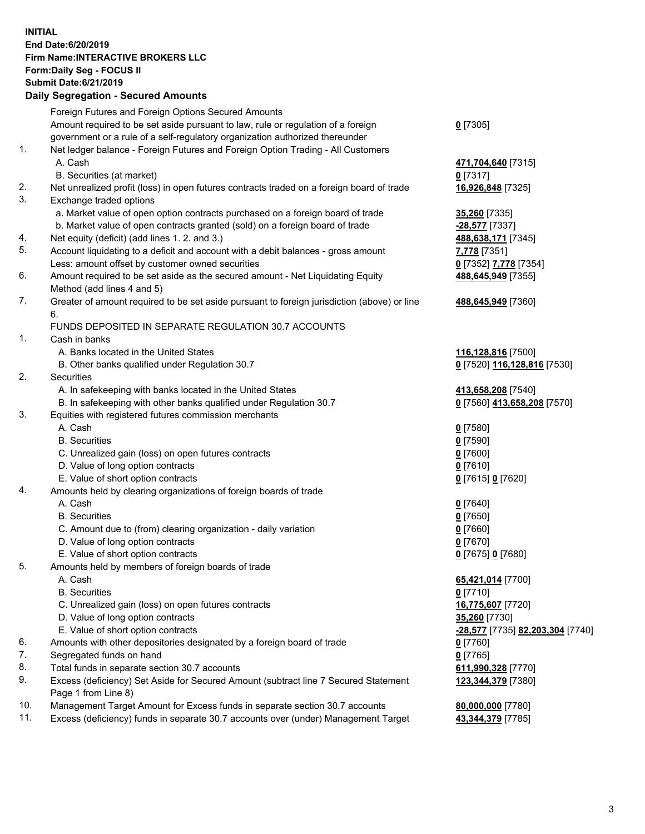## **INITIAL End Date:6/20/2019 Firm Name:INTERACTIVE BROKERS LLC Form:Daily Seg - FOCUS II Submit Date:6/21/2019 Daily Segregation - Secured Amounts**

|                | Daily Ocglegation - Occuled Aniounts                                                        |                                  |
|----------------|---------------------------------------------------------------------------------------------|----------------------------------|
|                | Foreign Futures and Foreign Options Secured Amounts                                         |                                  |
|                | Amount required to be set aside pursuant to law, rule or regulation of a foreign            | $0$ [7305]                       |
|                | government or a rule of a self-regulatory organization authorized thereunder                |                                  |
| $\mathbf{1}$ . | Net ledger balance - Foreign Futures and Foreign Option Trading - All Customers             |                                  |
|                | A. Cash                                                                                     | 471,704,640 [7315]               |
|                | B. Securities (at market)                                                                   | $0$ [7317]                       |
| 2.             | Net unrealized profit (loss) in open futures contracts traded on a foreign board of trade   | 16,926,848 [7325]                |
| 3.             | Exchange traded options                                                                     |                                  |
|                | a. Market value of open option contracts purchased on a foreign board of trade              | 35,260 [7335]                    |
|                | b. Market value of open contracts granted (sold) on a foreign board of trade                | -28,577 [7337]                   |
| 4.             | Net equity (deficit) (add lines 1. 2. and 3.)                                               | 488,638,171 [7345]               |
| 5.             | Account liquidating to a deficit and account with a debit balances - gross amount           | 7,778 [7351]                     |
|                | Less: amount offset by customer owned securities                                            | 0 [7352] 7,778 [7354]            |
| 6.             | Amount required to be set aside as the secured amount - Net Liquidating Equity              | 488,645,949 [7355]               |
|                | Method (add lines 4 and 5)                                                                  |                                  |
| 7.             | Greater of amount required to be set aside pursuant to foreign jurisdiction (above) or line | 488,645,949 [7360]               |
|                | 6.                                                                                          |                                  |
|                | FUNDS DEPOSITED IN SEPARATE REGULATION 30.7 ACCOUNTS                                        |                                  |
| 1.             | Cash in banks                                                                               |                                  |
|                | A. Banks located in the United States                                                       | 116,128,816 [7500]               |
|                | B. Other banks qualified under Regulation 30.7                                              | 0 [7520] 116,128,816 [7530]      |
| 2.             | Securities                                                                                  |                                  |
|                | A. In safekeeping with banks located in the United States                                   | 413,658,208 [7540]               |
|                | B. In safekeeping with other banks qualified under Regulation 30.7                          | 0 [7560] 413,658,208 [7570]      |
| 3.             | Equities with registered futures commission merchants                                       |                                  |
|                | A. Cash                                                                                     | $0$ [7580]                       |
|                | <b>B.</b> Securities                                                                        | $0$ [7590]                       |
|                | C. Unrealized gain (loss) on open futures contracts                                         | $0$ [7600]                       |
|                | D. Value of long option contracts                                                           | $0$ [7610]                       |
|                | E. Value of short option contracts                                                          | 0 [7615] 0 [7620]                |
| 4.             | Amounts held by clearing organizations of foreign boards of trade                           |                                  |
|                | A. Cash                                                                                     | $0$ [7640]                       |
|                | <b>B.</b> Securities                                                                        | $0$ [7650]                       |
|                | C. Amount due to (from) clearing organization - daily variation                             | $0$ [7660]                       |
|                | D. Value of long option contracts                                                           | $0$ [7670]                       |
|                | E. Value of short option contracts                                                          | 0 [7675] 0 [7680]                |
| 5.             | Amounts held by members of foreign boards of trade                                          |                                  |
|                | A. Cash                                                                                     | 65,421,014 [7700]                |
|                | <b>B.</b> Securities                                                                        | $0$ [7710]                       |
|                | C. Unrealized gain (loss) on open futures contracts                                         | 16,775,607 [7720]                |
|                | D. Value of long option contracts                                                           | 35,260 [7730]                    |
|                | E. Value of short option contracts                                                          | -28,577 [7735] 82,203,304 [7740] |
| 6.             | Amounts with other depositories designated by a foreign board of trade                      | 0 [7760]                         |
| 7.             | Segregated funds on hand                                                                    | $0$ [7765]                       |
| 8.             | Total funds in separate section 30.7 accounts                                               | 611,990,328 [7770]               |
| 9.             | Excess (deficiency) Set Aside for Secured Amount (subtract line 7 Secured Statement         | 123,344,379 [7380]               |
|                | Page 1 from Line 8)                                                                         |                                  |
| 10.            | Management Target Amount for Excess funds in separate section 30.7 accounts                 | 80,000,000 [7780]                |
| 11.            | Excess (deficiency) funds in separate 30.7 accounts over (under) Management Target          | 43,344,379 [7785]                |
|                |                                                                                             |                                  |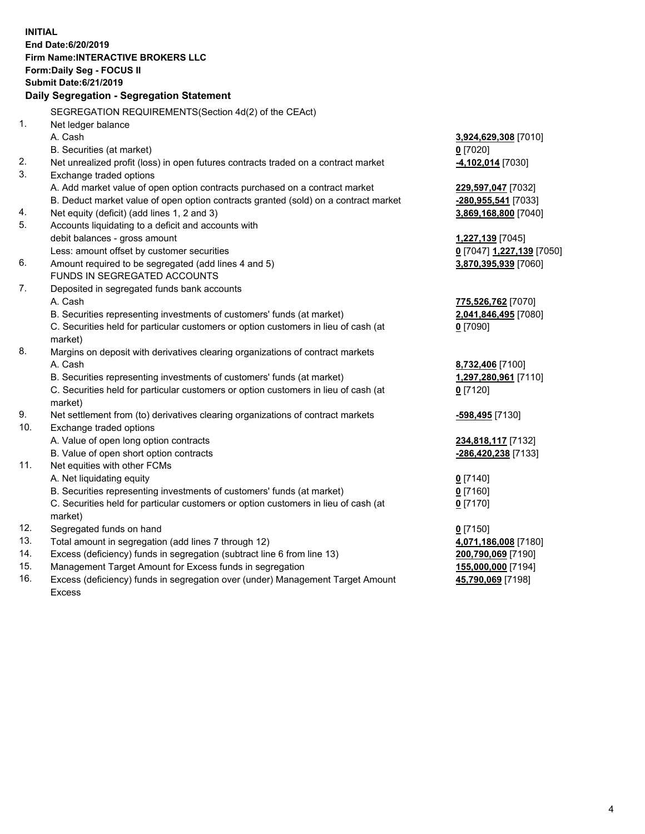**INITIAL End Date:6/20/2019 Firm Name:INTERACTIVE BROKERS LLC Form:Daily Seg - FOCUS II Submit Date:6/21/2019 Daily Segregation - Segregation Statement** SEGREGATION REQUIREMENTS(Section 4d(2) of the CEAct) 1. Net ledger balance A. Cash **3,924,629,308** [7010] B. Securities (at market) **0** [7020] 2. Net unrealized profit (loss) in open futures contracts traded on a contract market **-4,102,014** [7030] 3. Exchange traded options A. Add market value of open option contracts purchased on a contract market **229,597,047** [7032] B. Deduct market value of open option contracts granted (sold) on a contract market **-280,955,541** [7033] 4. Net equity (deficit) (add lines 1, 2 and 3) **3,869,168,800** [7040] 5. Accounts liquidating to a deficit and accounts with debit balances - gross amount **1,227,139** [7045] Less: amount offset by customer securities **0** [7047] **1,227,139** [7050] 6. Amount required to be segregated (add lines 4 and 5) **3,870,395,939** [7060] FUNDS IN SEGREGATED ACCOUNTS 7. Deposited in segregated funds bank accounts A. Cash **775,526,762** [7070] B. Securities representing investments of customers' funds (at market) **2,041,846,495** [7080] C. Securities held for particular customers or option customers in lieu of cash (at market) **0** [7090] 8. Margins on deposit with derivatives clearing organizations of contract markets A. Cash **8,732,406** [7100] B. Securities representing investments of customers' funds (at market) **1,297,280,961** [7110] C. Securities held for particular customers or option customers in lieu of cash (at market) **0** [7120] 9. Net settlement from (to) derivatives clearing organizations of contract markets **-598,495** [7130] 10. Exchange traded options A. Value of open long option contracts **234,818,117** [7132] B. Value of open short option contracts **-286,420,238** [7133] 11. Net equities with other FCMs A. Net liquidating equity **0** [7140] B. Securities representing investments of customers' funds (at market) **0** [7160] C. Securities held for particular customers or option customers in lieu of cash (at market) **0** [7170] 12. Segregated funds on hand **0** [7150] 13. Total amount in segregation (add lines 7 through 12) **4,071,186,008** [7180] 14. Excess (deficiency) funds in segregation (subtract line 6 from line 13) **200,790,069** [7190] 15. Management Target Amount for Excess funds in segregation **155,000,000** [7194]

16. Excess (deficiency) funds in segregation over (under) Management Target Amount Excess

**45,790,069** [7198]